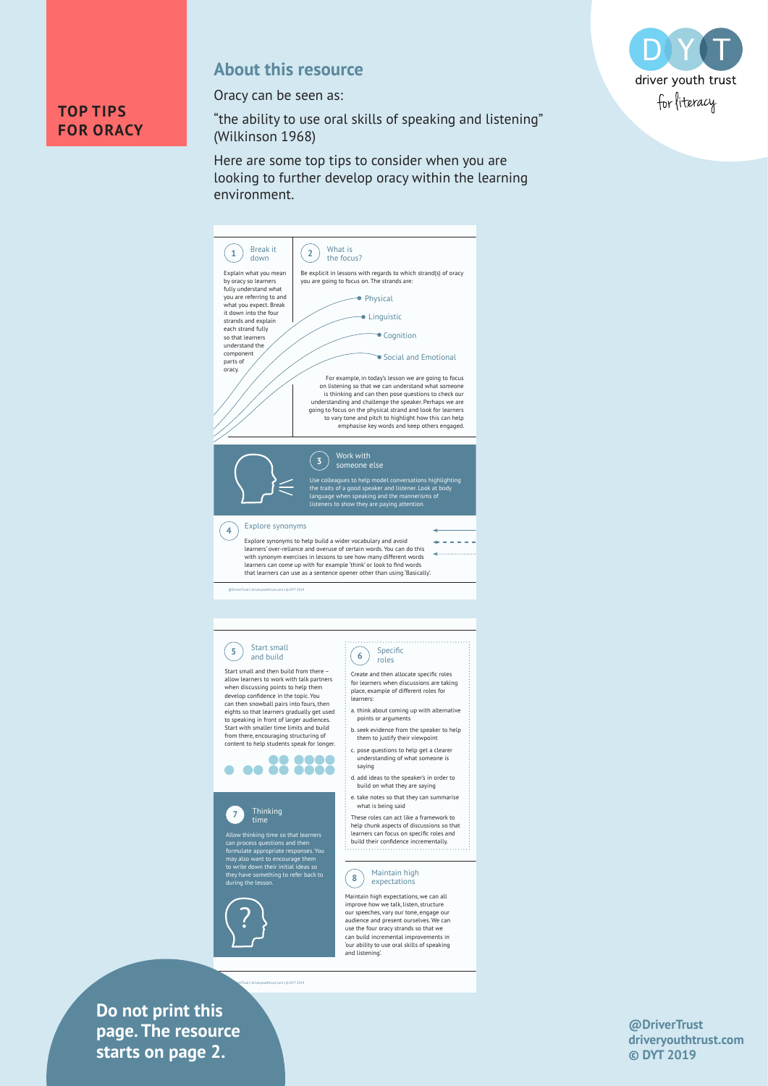

#### **About this resource**

Oracy can be seen as:

"the ability to use oral skills of speaking and listening" (Wilkinson 1968)

Here are some top tips to consider when you are looking to further develop oracy within the learning environment.



**drivers in text** is tarts on page 2. **Do not print this page. The resource** 



**@DriverTrust driveryouthtrust.com © DYT 2019**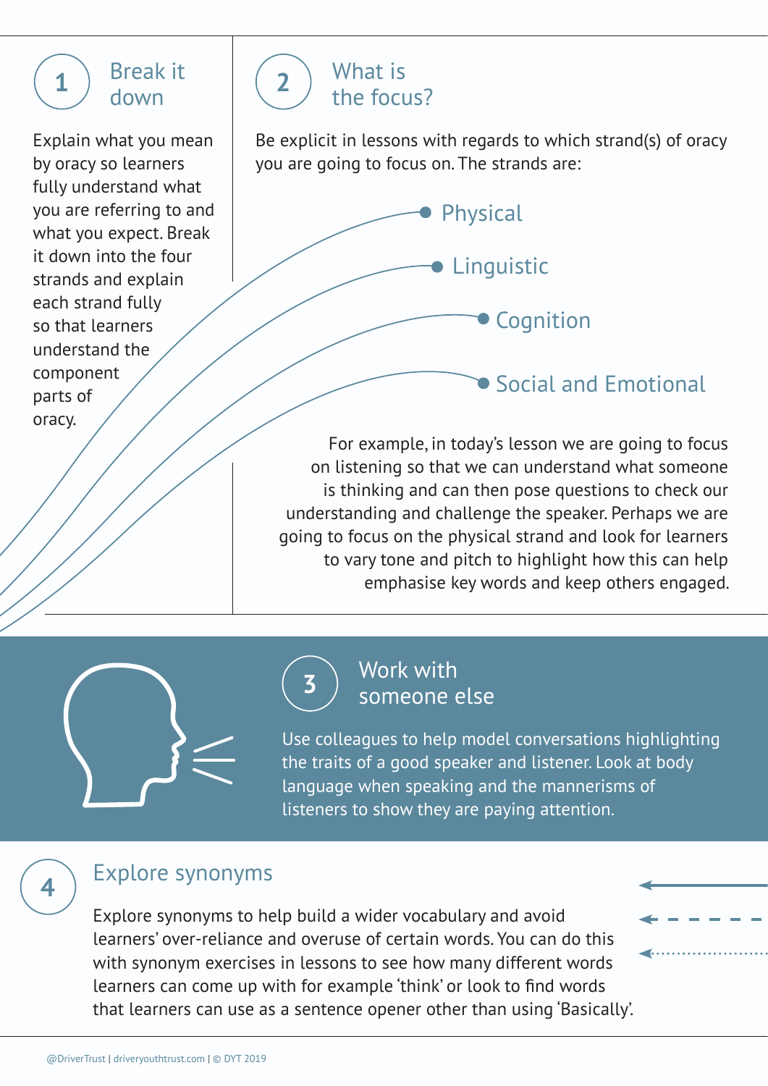# **1** Break it ( **2** down

Explain what you mean by oracy so learners fully understand what you are referring to and what you expect. Break it down into the four strands and explain each strand fully so that learners understand the component parts of oracy.



Be explicit in lessons with regards to which strand(s) of oracy you are going to focus on. The strands are:



**Social and Emotional** 

For example, in today's lesson we are going to focus on listening so that we can understand what someone is thinking and can then pose questions to check our understanding and challenge the speaker. Perhaps we are going to focus on the physical strand and look for learners to vary tone and pitch to highlight how this can help emphasise key words and keep others engaged.



# **<sup>3</sup>** Work with someone else

Use colleagues to help model conversations highlighting the traits of a good speaker and listener. Look at body language when speaking and the mannerisms of listeners to show they are paying attention.

### **<sup>4</sup>** Explore synonyms

Explore synonyms to help build a wider vocabulary and avoid learners' over-reliance and overuse of certain words. You can do this with synonym exercises in lessons to see how many different words learners can come up with for example 'think' or look to find words that learners can use as a sentence opener other than using 'Basically'.